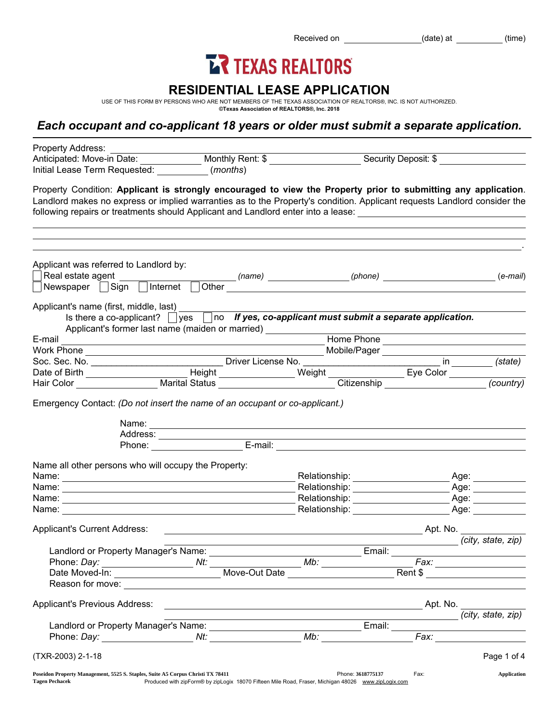Received on (date) at (time)

# **LR TEXAS REALTORS**

## RESIDENTIAL LEASE APPLICATION

USE OF THIS FORM BY PERSONS WHO ARE NOT MEMBERS OF THE TEXAS ASSOCIATION OF REALTORS®, INC. IS NOT AUTHORIZED. ©Texas Association of REALTORS®, Inc. 2018

# *Each occupant and co-applicant 18 years or older must submit a separate application.*

| Property Address:<br>Anticipated: Move-in Date: Monthly Rent: \$                                                                                                                                                                                                                                                                                             |                                                                                                                                                                                                                                                                                                                                                                                                                                                                   |                                                                                                                                                                                                                                |            | Security Deposit: \$                 |
|--------------------------------------------------------------------------------------------------------------------------------------------------------------------------------------------------------------------------------------------------------------------------------------------------------------------------------------------------------------|-------------------------------------------------------------------------------------------------------------------------------------------------------------------------------------------------------------------------------------------------------------------------------------------------------------------------------------------------------------------------------------------------------------------------------------------------------------------|--------------------------------------------------------------------------------------------------------------------------------------------------------------------------------------------------------------------------------|------------|--------------------------------------|
| Initial Lease Term Requested: (months)                                                                                                                                                                                                                                                                                                                       |                                                                                                                                                                                                                                                                                                                                                                                                                                                                   |                                                                                                                                                                                                                                |            |                                      |
| Property Condition: Applicant is strongly encouraged to view the Property prior to submitting any application.<br>Landlord makes no express or implied warranties as to the Property's condition. Applicant requests Landlord consider the<br>following repairs or treatments should Applicant and Landlord enter into a lease: 1988 1998 1999 1999 1999 199 |                                                                                                                                                                                                                                                                                                                                                                                                                                                                   |                                                                                                                                                                                                                                |            |                                      |
|                                                                                                                                                                                                                                                                                                                                                              |                                                                                                                                                                                                                                                                                                                                                                                                                                                                   |                                                                                                                                                                                                                                |            |                                      |
| Applicant was referred to Landlord by:                                                                                                                                                                                                                                                                                                                       |                                                                                                                                                                                                                                                                                                                                                                                                                                                                   |                                                                                                                                                                                                                                |            | $(e-mail)$                           |
| Newspaper Sign Internet                                                                                                                                                                                                                                                                                                                                      |                                                                                                                                                                                                                                                                                                                                                                                                                                                                   |                                                                                                                                                                                                                                |            |                                      |
| Applicant's name (first, middle, last)                                                                                                                                                                                                                                                                                                                       |                                                                                                                                                                                                                                                                                                                                                                                                                                                                   |                                                                                                                                                                                                                                |            |                                      |
|                                                                                                                                                                                                                                                                                                                                                              | Is there a co-applicant? $\Box$ yes $\Box$ no If yes, co-applicant must submit a separate application.<br>Applicant's former last name (maiden or married) ____________                                                                                                                                                                                                                                                                                           |                                                                                                                                                                                                                                |            |                                      |
| E-mail                                                                                                                                                                                                                                                                                                                                                       | <u> 1989 - Johann Stein, marwolaethau a bhann an t-Amhair an t-Amhair an t-Amhair an t-Amhair an t-Amhair an t-A</u>                                                                                                                                                                                                                                                                                                                                              |                                                                                                                                                                                                                                | Home Phone |                                      |
|                                                                                                                                                                                                                                                                                                                                                              |                                                                                                                                                                                                                                                                                                                                                                                                                                                                   |                                                                                                                                                                                                                                |            |                                      |
|                                                                                                                                                                                                                                                                                                                                                              |                                                                                                                                                                                                                                                                                                                                                                                                                                                                   |                                                                                                                                                                                                                                |            |                                      |
|                                                                                                                                                                                                                                                                                                                                                              |                                                                                                                                                                                                                                                                                                                                                                                                                                                                   |                                                                                                                                                                                                                                |            |                                      |
|                                                                                                                                                                                                                                                                                                                                                              | Name: Name: Name: Name: Name: Name: Name: Name: Name: Name: Name: Name: Name: Name: Name: Name: Name: Name: Name: Name: Name: Name: Name: Name: Name: Name: Name: Name: Name: Name: Name: Name: Name: Name: Name: Name: Name:<br>Address:<br>Phone: E-mail: E-mail: E-mail: E-mail: E-mail: E-mail: E-mail: E-mail: E-mail: E-mail: E-mail: E-mail: E-mail: E-mail: E-mail: E-mail: E-mail: E-mail: E-mail: E-mail: E-mail: E-mail: E-mail: E-mail: E-mail: E-mai |                                                                                                                                                                                                                                |            |                                      |
| Name all other persons who will occupy the Property:                                                                                                                                                                                                                                                                                                         |                                                                                                                                                                                                                                                                                                                                                                                                                                                                   |                                                                                                                                                                                                                                |            |                                      |
|                                                                                                                                                                                                                                                                                                                                                              |                                                                                                                                                                                                                                                                                                                                                                                                                                                                   | Relationship: __________________                                                                                                                                                                                               |            | _ Age: ___________                   |
|                                                                                                                                                                                                                                                                                                                                                              |                                                                                                                                                                                                                                                                                                                                                                                                                                                                   |                                                                                                                                                                                                                                |            | Age: ___________                     |
|                                                                                                                                                                                                                                                                                                                                                              |                                                                                                                                                                                                                                                                                                                                                                                                                                                                   | Relationship: _____________________                                                                                                                                                                                            |            |                                      |
| Name:                                                                                                                                                                                                                                                                                                                                                        |                                                                                                                                                                                                                                                                                                                                                                                                                                                                   | Relationship: example and the set of the set of the set of the set of the set of the set of the set of the set of the set of the set of the set of the set of the set of the set of the set of the set of the set of the set o |            | Age: _______                         |
| <b>Applicant's Current Address:</b>                                                                                                                                                                                                                                                                                                                          |                                                                                                                                                                                                                                                                                                                                                                                                                                                                   |                                                                                                                                                                                                                                |            | Apt. No.                             |
| Landlord or Property Manager's Name:                                                                                                                                                                                                                                                                                                                         |                                                                                                                                                                                                                                                                                                                                                                                                                                                                   | Email:                                                                                                                                                                                                                         |            | (city, state, zip)                   |
|                                                                                                                                                                                                                                                                                                                                                              |                                                                                                                                                                                                                                                                                                                                                                                                                                                                   |                                                                                                                                                                                                                                |            |                                      |
|                                                                                                                                                                                                                                                                                                                                                              |                                                                                                                                                                                                                                                                                                                                                                                                                                                                   | $\overline{\textit{Mb:}}$                                                                                                                                                                                                      |            | Fax: ____________________<br>Rent \$ |
|                                                                                                                                                                                                                                                                                                                                                              |                                                                                                                                                                                                                                                                                                                                                                                                                                                                   |                                                                                                                                                                                                                                |            |                                      |
| Applicant's Previous Address:                                                                                                                                                                                                                                                                                                                                |                                                                                                                                                                                                                                                                                                                                                                                                                                                                   |                                                                                                                                                                                                                                |            |                                      |
|                                                                                                                                                                                                                                                                                                                                                              |                                                                                                                                                                                                                                                                                                                                                                                                                                                                   | the control of the control of the control of the control of the control of                                                                                                                                                     |            | (city, state, zip)                   |
|                                                                                                                                                                                                                                                                                                                                                              |                                                                                                                                                                                                                                                                                                                                                                                                                                                                   |                                                                                                                                                                                                                                |            |                                      |
|                                                                                                                                                                                                                                                                                                                                                              |                                                                                                                                                                                                                                                                                                                                                                                                                                                                   |                                                                                                                                                                                                                                |            |                                      |
| (TXR-2003) 2-1-18                                                                                                                                                                                                                                                                                                                                            |                                                                                                                                                                                                                                                                                                                                                                                                                                                                   |                                                                                                                                                                                                                                |            | Page 1 of 4                          |
| Poseidon Property Management, 5525 S. Staples, Suite A5 Corpus Christi TX 78411<br><b>Tagen Pechacek</b>                                                                                                                                                                                                                                                     | Produced with zipForm® by zipLogix 18070 Fifteen Mile Road, Fraser, Michigan 48026 www.zipLogix.com                                                                                                                                                                                                                                                                                                                                                               | Phone: 3618775137                                                                                                                                                                                                              | Fax:       | <b>Application</b>                   |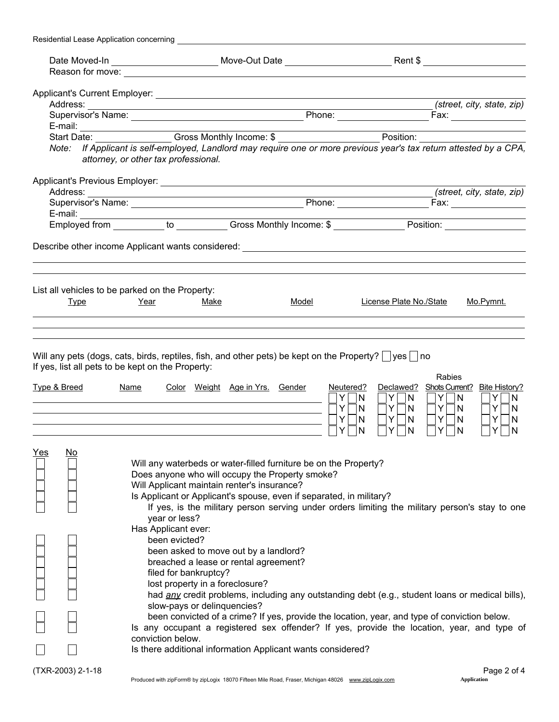| Residential Lease Application concerning |                                                                                                                                                                                                                                                                                                                                                                                                                                                                                                                                                                                                                                                                                                                                                                                                                                                                                                                                                                        |       |                                                                                                                  |                                                                                                                                                                           |
|------------------------------------------|------------------------------------------------------------------------------------------------------------------------------------------------------------------------------------------------------------------------------------------------------------------------------------------------------------------------------------------------------------------------------------------------------------------------------------------------------------------------------------------------------------------------------------------------------------------------------------------------------------------------------------------------------------------------------------------------------------------------------------------------------------------------------------------------------------------------------------------------------------------------------------------------------------------------------------------------------------------------|-------|------------------------------------------------------------------------------------------------------------------|---------------------------------------------------------------------------------------------------------------------------------------------------------------------------|
|                                          |                                                                                                                                                                                                                                                                                                                                                                                                                                                                                                                                                                                                                                                                                                                                                                                                                                                                                                                                                                        |       |                                                                                                                  |                                                                                                                                                                           |
|                                          |                                                                                                                                                                                                                                                                                                                                                                                                                                                                                                                                                                                                                                                                                                                                                                                                                                                                                                                                                                        |       |                                                                                                                  |                                                                                                                                                                           |
|                                          |                                                                                                                                                                                                                                                                                                                                                                                                                                                                                                                                                                                                                                                                                                                                                                                                                                                                                                                                                                        |       |                                                                                                                  |                                                                                                                                                                           |
|                                          |                                                                                                                                                                                                                                                                                                                                                                                                                                                                                                                                                                                                                                                                                                                                                                                                                                                                                                                                                                        |       |                                                                                                                  | (street, city, state, zip)                                                                                                                                                |
|                                          |                                                                                                                                                                                                                                                                                                                                                                                                                                                                                                                                                                                                                                                                                                                                                                                                                                                                                                                                                                        |       |                                                                                                                  |                                                                                                                                                                           |
|                                          |                                                                                                                                                                                                                                                                                                                                                                                                                                                                                                                                                                                                                                                                                                                                                                                                                                                                                                                                                                        |       |                                                                                                                  |                                                                                                                                                                           |
|                                          | E-mail: Start Date: Cross Monthly Income: \$                                                                                                                                                                                                                                                                                                                                                                                                                                                                                                                                                                                                                                                                                                                                                                                                                                                                                                                           |       |                                                                                                                  |                                                                                                                                                                           |
|                                          | Note: If Applicant is self-employed, Landlord may require one or more previous year's tax return attested by a CPA,<br>attorney, or other tax professional.                                                                                                                                                                                                                                                                                                                                                                                                                                                                                                                                                                                                                                                                                                                                                                                                            |       |                                                                                                                  |                                                                                                                                                                           |
|                                          |                                                                                                                                                                                                                                                                                                                                                                                                                                                                                                                                                                                                                                                                                                                                                                                                                                                                                                                                                                        |       |                                                                                                                  |                                                                                                                                                                           |
|                                          |                                                                                                                                                                                                                                                                                                                                                                                                                                                                                                                                                                                                                                                                                                                                                                                                                                                                                                                                                                        |       |                                                                                                                  | (street, city, state, zip)                                                                                                                                                |
|                                          |                                                                                                                                                                                                                                                                                                                                                                                                                                                                                                                                                                                                                                                                                                                                                                                                                                                                                                                                                                        |       |                                                                                                                  |                                                                                                                                                                           |
|                                          |                                                                                                                                                                                                                                                                                                                                                                                                                                                                                                                                                                                                                                                                                                                                                                                                                                                                                                                                                                        |       |                                                                                                                  |                                                                                                                                                                           |
|                                          |                                                                                                                                                                                                                                                                                                                                                                                                                                                                                                                                                                                                                                                                                                                                                                                                                                                                                                                                                                        |       |                                                                                                                  |                                                                                                                                                                           |
|                                          |                                                                                                                                                                                                                                                                                                                                                                                                                                                                                                                                                                                                                                                                                                                                                                                                                                                                                                                                                                        |       |                                                                                                                  |                                                                                                                                                                           |
|                                          | List all vehicles to be parked on the Property:                                                                                                                                                                                                                                                                                                                                                                                                                                                                                                                                                                                                                                                                                                                                                                                                                                                                                                                        |       |                                                                                                                  |                                                                                                                                                                           |
| <b>Type</b>                              | Year<br>Make                                                                                                                                                                                                                                                                                                                                                                                                                                                                                                                                                                                                                                                                                                                                                                                                                                                                                                                                                           | Model | License Plate No./State                                                                                          | Mo.Pymnt.                                                                                                                                                                 |
|                                          |                                                                                                                                                                                                                                                                                                                                                                                                                                                                                                                                                                                                                                                                                                                                                                                                                                                                                                                                                                        |       |                                                                                                                  |                                                                                                                                                                           |
| <u>Type &amp; Breed</u>                  | If yes, list all pets to be kept on the Property:<br><b>Name</b><br>Color Weight Age in Yrs. Gender                                                                                                                                                                                                                                                                                                                                                                                                                                                                                                                                                                                                                                                                                                                                                                                                                                                                    |       | Neutered?<br>Declawed?<br>Y.<br> N <br>Y N<br>Y.<br>$Y\Box N$<br> N <br>Y<br>$Y \Box N$<br>N<br>Y<br>N<br>N<br>Y | <b>Rabies</b><br>Shots Current? Bite History?<br>$Y$ $ N$<br>$Y$ $ N$<br>$Y \Box N$<br>$Y \Box N$<br>$Y \cap N$<br>Y<br>N<br>$\overline{\phantom{0}}$<br>Y<br>N<br>Y<br>N |
| <u>Yes</u><br><u>No</u>                  | Will any waterbeds or water-filled furniture be on the Property?<br>Does anyone who will occupy the Property smoke?<br>Will Applicant maintain renter's insurance?<br>Is Applicant or Applicant's spouse, even if separated, in military?<br>If yes, is the military person serving under orders limiting the military person's stay to one<br>year or less?<br>Has Applicant ever:<br>been evicted?<br>been asked to move out by a landlord?<br>breached a lease or rental agreement?<br>filed for bankruptcy?<br>lost property in a foreclosure?<br>had any credit problems, including any outstanding debt (e.g., student loans or medical bills),<br>slow-pays or delinquencies?<br>been convicted of a crime? If yes, provide the location, year, and type of conviction below.<br>Is any occupant a registered sex offender? If yes, provide the location, year, and type of<br>conviction below.<br>Is there additional information Applicant wants considered? |       |                                                                                                                  |                                                                                                                                                                           |
| (TXR-2003) 2-1-18                        |                                                                                                                                                                                                                                                                                                                                                                                                                                                                                                                                                                                                                                                                                                                                                                                                                                                                                                                                                                        |       |                                                                                                                  | Page 2 of 4                                                                                                                                                               |
|                                          | Produced with zipForm® by zipLogix 18070 Fifteen Mile Road, Fraser, Michigan 48026 www.zipLogix.com                                                                                                                                                                                                                                                                                                                                                                                                                                                                                                                                                                                                                                                                                                                                                                                                                                                                    |       |                                                                                                                  | <b>Application</b>                                                                                                                                                        |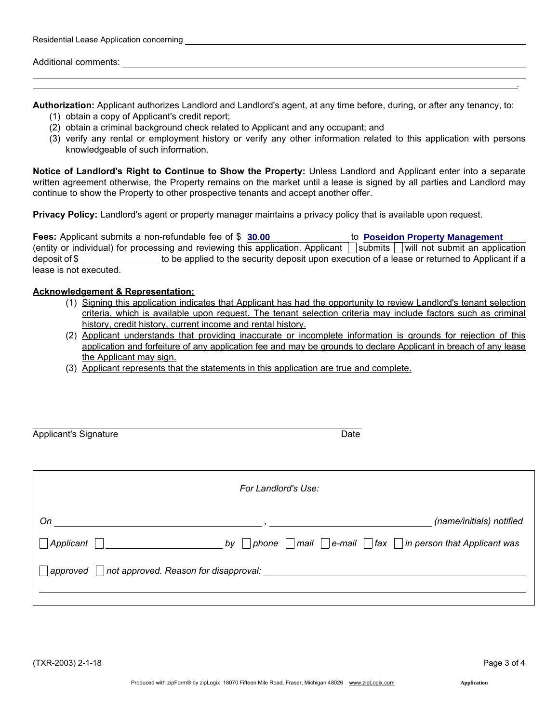| Residential Lease Application concerning |  |  |  |  |
|------------------------------------------|--|--|--|--|
|------------------------------------------|--|--|--|--|

Additional comments:

Authorization: Applicant authorizes Landlord and Landlord's agent, at any time before, during, or after any tenancy, to:

- (1) obtain a copy of Applicant's credit report;
- (2) obtain a criminal background check related to Applicant and any occupant; and
- (3) verify any rental or employment history or verify any other information related to this application with persons knowledgeable of such information.

Notice of Landlord's Right to Continue to Show the Property: Unless Landlord and Applicant enter into a separate written agreement otherwise, the Property remains on the market until a lease is signed by all parties and Landlord may continue to show the Property to other prospective tenants and accept another offer.

Privacy Policy: Landlord's agent or property manager maintains a privacy policy that is available upon request.

Fees: Applicant submits a non-refundable fee of \$ 30.00 (entity or individual) for processing and reviewing this application. Applicant submits will not submit an application deposit of \$ to be applied to the security deposit upon execution of a lease or returned to Applicant if a lease is not executed. **30.00 Poseidon Property Management**

#### Acknowledgement & Representation:

- (1) Signing this application indicates that Applicant has had the opportunity to review Landlord's tenant selection criteria, which is available upon request. The tenant selection criteria may include factors such as criminal history, credit history, current income and rental history.
- (2) Applicant understands that providing inaccurate or incomplete information is grounds for rejection of this application and forfeiture of any application fee and may be grounds to declare Applicant in breach of any lease the Applicant may sign.
- (3) Applicant represents that the statements in this application are true and complete.

| <b>Applicant's Signature</b>                      | Date                |                                                                                         |  |
|---------------------------------------------------|---------------------|-----------------------------------------------------------------------------------------|--|
|                                                   | For Landlord's Use: |                                                                                         |  |
| On                                                |                     | (name/initials) notified                                                                |  |
| Applicant                                         | by                  | $\nabla$ phone $\Box$ mail $\Box$ e-mail $\Box$ fax $\Box$ in person that Applicant was |  |
| not approved. Reason for disapproval:<br>approved |                     |                                                                                         |  |

.